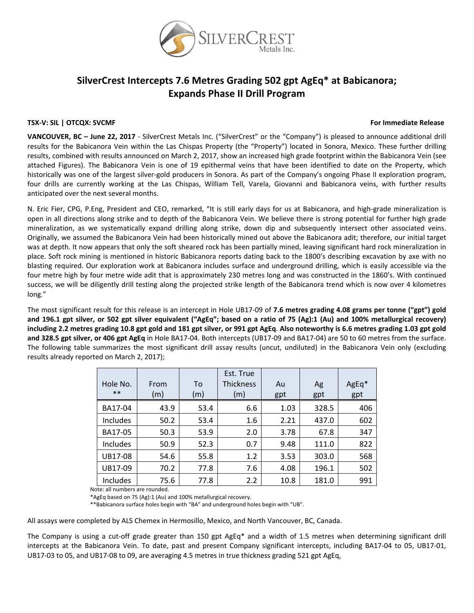

## **SilverCrest Intercepts 7.6 Metres Grading 502 gpt AgEq\* at Babicanora; Expands Phase II Drill Program**

#### **TSX‐V: SIL | OTCQX: SVCMF For Immediate Release**

**VANCOUVER, BC – June 22, 2017** ‐ SilverCrest Metals Inc. ("SilverCrest" or the "Company") is pleased to announce additional drill results for the Babicanora Vein within the Las Chispas Property (the "Property") located in Sonora, Mexico. These further drilling results, combined with results announced on March 2, 2017, show an increased high grade footprint within the Babicanora Vein (see attached Figures). The Babicanora Vein is one of 19 epithermal veins that have been identified to date on the Property, which historically was one of the largest silver-gold producers in Sonora. As part of the Company's ongoing Phase II exploration program, four drills are currently working at the Las Chispas, William Tell, Varela, Giovanni and Babicanora veins, with further results anticipated over the next several months.

N. Eric Fier, CPG, P.Eng, President and CEO, remarked, "It is still early days for us at Babicanora, and high‐grade mineralization is open in all directions along strike and to depth of the Babicanora Vein. We believe there is strong potential for further high grade mineralization, as we systematically expand drilling along strike, down dip and subsequently intersect other associated veins. Originally, we assumed the Babicanora Vein had been historically mined out above the Babicanora adit; therefore, our initial target was at depth. It now appears that only the soft sheared rock has been partially mined, leaving significant hard rock mineralization in place. Soft rock mining is mentioned in historic Babicanora reports dating back to the 1800's describing excavation by axe with no blasting required. Our exploration work at Babicanora includes surface and underground drilling, which is easily accessible via the four metre high by four metre wide adit that is approximately 230 metres long and was constructed in the 1860's. With continued success, we will be diligently drill testing along the projected strike length of the Babicanora trend which is now over 4 kilometres long."

The most significant result for this release is an intercept in Hole UB17‐09 of **7.6 metres grading 4.08 grams per tonne ("gpt") gold** and 196.1 gpt silver, or 502 gpt silver equivalent ("AgEq"; based on a ratio of 75 (Ag):1 (Au) and 100% metallurgical recovery) including 2.2 metres grading 10.8 gpt gold and 181 gpt silver, or 991 gpt AgEq. Also noteworthy is 6.6 metres grading 1.03 gpt gold **and 328.5 gpt silver, or 406 gpt AgEq** in Hole BA17‐04. Both intercepts (UB17‐09 and BA17‐04) are 50 to 60 metres from the surface. The following table summarizes the most significant drill assay results (uncut, undiluted) in the Babicanora Vein only (excluding results already reported on March 2, 2017);

| Hole No.<br>$***$ | From<br>(m) | To<br>(m) | Est. True<br><b>Thickness</b><br>(m) | Au<br>gpt | Ag<br>gpt | AgEq*<br>gpt |
|-------------------|-------------|-----------|--------------------------------------|-----------|-----------|--------------|
| BA17-04           | 43.9        | 53.4      | 6.6                                  | 1.03      | 328.5     | 406          |
| Includes          | 50.2        | 53.4      | 1.6                                  | 2.21      | 437.0     | 602          |
| BA17-05           | 50.3        | 53.9      | 2.0                                  | 3.78      | 67.8      | 347          |
| Includes          | 50.9        | 52.3      | 0.7                                  | 9.48      | 111.0     | 822          |
| UB17-08           | 54.6        | 55.8      | 1.2                                  | 3.53      | 303.0     | 568          |
| UB17-09           | 70.2        | 77.8      | 7.6                                  | 4.08      | 196.1     | 502          |
| Includes          | 75.6        | 77.8      | 2.2                                  | 10.8      | 181.0     | 991          |

Note: all numbers are rounded.

\*AgEq based on 75 (Ag):1 (Au) and 100% metallurgical recovery.

\*\*Babicanora surface holes begin with "BA" and underground holes begin with "UB".

All assays were completed by ALS Chemex in Hermosillo, Mexico, and North Vancouver, BC, Canada.

The Company is using a cut-off grade greater than 150 gpt AgEq\* and a width of 1.5 metres when determining significant drill intercepts at the Babicanora Vein. To date, past and present Company significant intercepts, including BA17‐04 to 05, UB17‐01, UB17‐03 to 05, and UB17‐08 to 09, are averaging 4.5 metres in true thickness grading 521 gpt AgEq**.**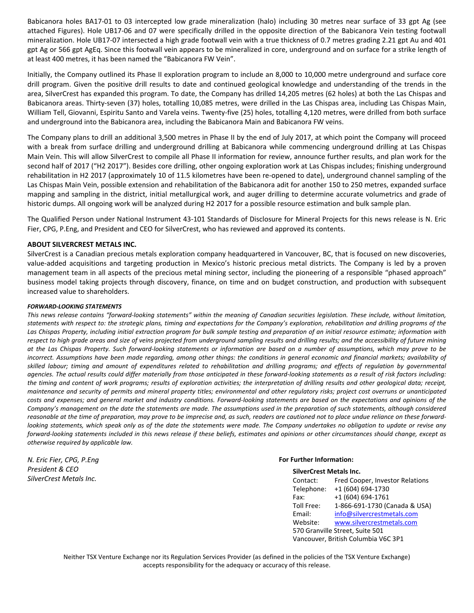Babicanora holes BA17‐01 to 03 intercepted low grade mineralization (halo) including 30 metres near surface of 33 gpt Ag (see attached Figures). Hole UB17‐06 and 07 were specifically drilled in the opposite direction of the Babicanora Vein testing footwall mineralization. Hole UB17‐07 intersected a high grade footwall vein with a true thickness of 0.7 metres grading 2.21 gpt Au and 401 gpt Ag or 566 gpt AgEq. Since this footwall vein appears to be mineralized in core, underground and on surface for a strike length of at least 400 metres, it has been named the "Babicanora FW Vein".

Initially, the Company outlined its Phase II exploration program to include an 8,000 to 10,000 metre underground and surface core drill program. Given the positive drill results to date and continued geological knowledge and understanding of the trends in the area, SilverCrest has expanded this program. To date, the Company has drilled 14,205 metres (62 holes) at both the Las Chispas and Babicanora areas. Thirty‐seven (37) holes, totalling 10,085 metres, were drilled in the Las Chispas area, including Las Chispas Main, William Tell, Giovanni, Espiritu Santo and Varela veins. Twenty‐five (25) holes, totalling 4,120 metres, were drilled from both surface and underground into the Babicanora area, including the Babicanora Main and Babicanora FW veins.

The Company plans to drill an additional 3,500 metres in Phase II by the end of July 2017, at which point the Company will proceed with a break from surface drilling and underground drilling at Babicanora while commencing underground drilling at Las Chispas Main Vein. This will allow SilverCrest to compile all Phase II information for review, announce further results, and plan work for the second half of 2017 ("H2 2017"). Besides core drilling, other ongoing exploration work at Las Chispas includes; finishing underground rehabilitation in H2 2017 (approximately 10 of 11.5 kilometres have been re‐opened to date), underground channel sampling of the Las Chispas Main Vein, possible extension and rehabilitation of the Babicanora adit for another 150 to 250 metres, expanded surface mapping and sampling in the district, initial metallurgical work, and auger drilling to determine accurate volumetrics and grade of historic dumps. All ongoing work will be analyzed during H2 2017 for a possible resource estimation and bulk sample plan.

The Qualified Person under National Instrument 43‐101 Standards of Disclosure for Mineral Projects for this news release is N. Eric Fier, CPG, P.Eng, and President and CEO for SilverCrest, who has reviewed and approved its contents.

### **ABOUT SILVERCREST METALS INC.**

SilverCrest is a Canadian precious metals exploration company headquartered in Vancouver, BC, that is focused on new discoveries, value‐added acquisitions and targeting production in Mexico's historic precious metal districts. The Company is led by a proven management team in all aspects of the precious metal mining sector, including the pioneering of a responsible "phased approach" business model taking projects through discovery, finance, on time and on budget construction, and production with subsequent increased value to shareholders.

#### *FORWARD‐LOOKING STATEMENTS*

This news release contains "forward-looking statements" within the meaning of Canadian securities legislation. These include, without limitation, statements with respect to: the strategic plans, timing and expectations for the Company's exploration, rehabilitation and drilling programs of the Las Chispas Property, including initial extraction program for bulk sample testing and preparation of an initial resource estimate; information with respect to high grade areas and size of veins projected from underground sampling results and drilling results; and the accessibility of future mining at the Las Chispas Property. Such forward-looking statements or information are based on a number of assumptions, which may prove to be incorrect. Assumptions have been made regarding, among other things: the conditions in general economic and financial markets; availability of skilled labour; timing and amount of expenditures related to rehabilitation and drilling programs; and effects of regulation by governmental agencies. The actual results could differ materially from those anticipated in these forward-looking statements as a result of risk factors including: the timing and content of work programs; results of exploration activities; the interpretation of drilling results and other geological data; receipt, maintenance and security of permits and mineral property titles; environmental and other regulatory risks; project cost overruns or unanticipated costs and expenses; and general market and industry conditions. Forward-looking statements are based on the expectations and opinions of the Company's management on the date the statements are made. The assumptions used in the preparation of such statements, although considered reasonable at the time of preparation, may prove to be imprecise and, as such, readers are cautioned not to place undue reliance on these forwardlooking statements, which speak only as of the date the statements were made. The Company undertakes no obligation to update or revise any forward-looking statements included in this news release if these beliefs, estimates and opinions or other circumstances should change, except as *otherwise required by applicable law.*

*N. Eric Fier, CPG, P.Eng President & CEO SilverCrest Metals Inc.*

#### **For Further Information:**

| <b>SilverCrest Metals Inc.</b>      |                                        |  |  |  |
|-------------------------------------|----------------------------------------|--|--|--|
| Contact:                            | <b>Fred Cooper, Investor Relations</b> |  |  |  |
| Telephone:                          | +1 (604) 694-1730                      |  |  |  |
| Fax:                                | +1 (604) 694-1761                      |  |  |  |
| Toll Free:                          | 1-866-691-1730 (Canada & USA)          |  |  |  |
| Email:                              | info@silvercrestmetals.com             |  |  |  |
| Website:                            | www.silvercrestmetals.com              |  |  |  |
| 570 Granville Street, Suite 501     |                                        |  |  |  |
| Vancouver, British Columbia V6C 3P1 |                                        |  |  |  |

Neither TSX Venture Exchange nor its Regulation Services Provider (as defined in the policies of the TSX Venture Exchange) accepts responsibility for the adequacy or accuracy of this release.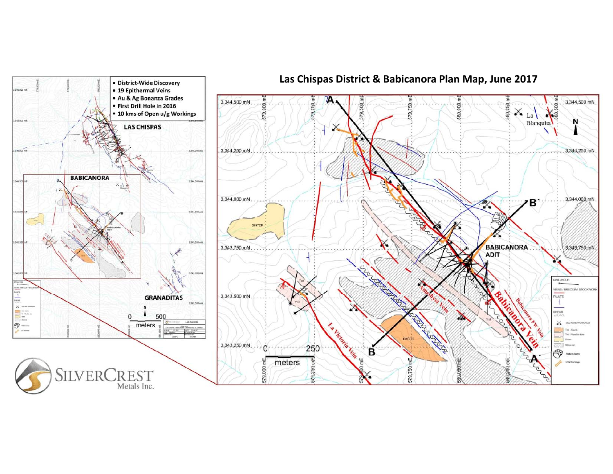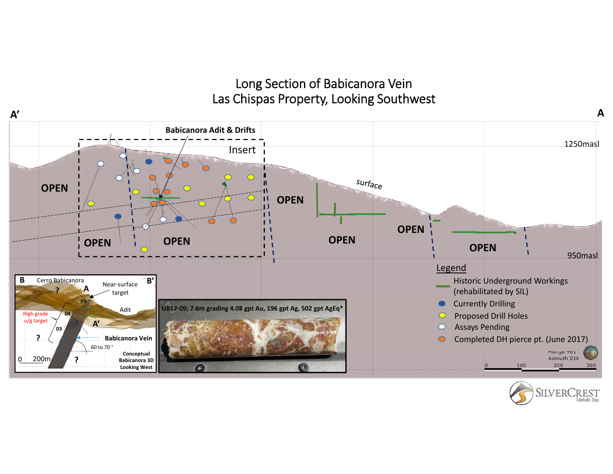# Long Section of Babicanora Vein Las Chispas Property, Looking Southwest